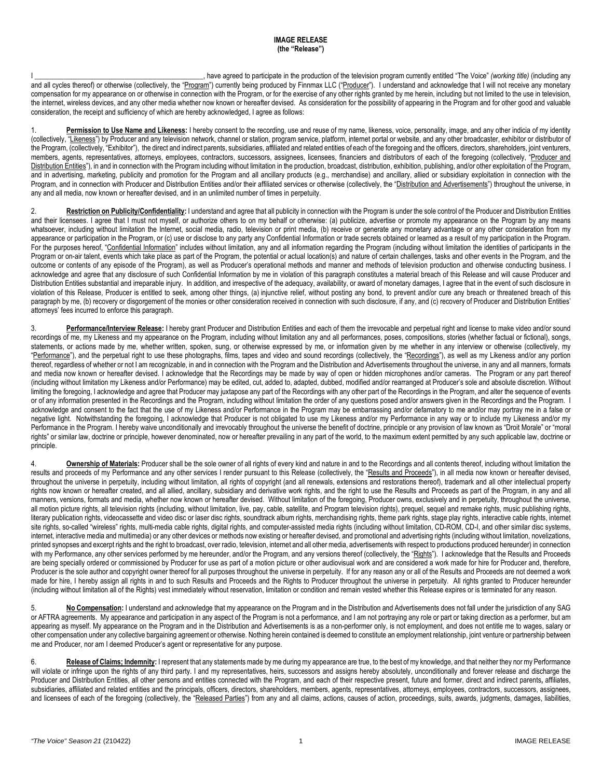## **IMAGE RELEASE (the "Release")**

I \_\_\_\_\_\_\_\_\_\_\_\_\_\_\_\_\_\_\_\_\_\_\_\_\_\_\_\_\_\_\_\_\_\_\_\_\_\_\_\_\_\_\_\_\_\_\_, have agreed to participate in the production of the television program currently entitled "The Voice" *(working title)* (including any and all cycles thereof) or otherwise (collectively, the "Program") currently being produced by Finnmax LLC ("Producer"). I understand and acknowledge that I will not receive any monetary compensation for my appearance on or otherwise in connection with the Program, or for the exercise of any other rights granted by me herein, including but not limited to the use in television, the internet, wireless devices, and any other media whether now known or hereafter devised. As consideration for the possibility of appearing in the Program and for other good and valuable consideration, the receipt and sufficiency of which are hereby acknowledged, I agree as follows:

1. **Permission to Use Name and Likeness:** I hereby consent to the recording, use and reuse of my name, likeness, voice, personality, image, and any other indicia of my identity (collectively, "Likeness") by Producer and any television network, channel or station, program service, platform, internet portal or website, and any other broadcaster, exhibitor or distributor of the Program, (collectively, "Exhibitor"), the direct and indirect parents, subsidiaries, affiliated and related entities of each of the foregoing and the officers, directors, shareholders, ioint venturers, members, agents, representatives, attorneys, employees, contractors, successors, assignees, licensees, financiers and distributors of each of the foregoing (collectively, "Producer and Distribution Entities"), in and in connection with the Program including without limitation in the production, broadcast, distribution, exhibition, publishing, and/or other exploitation of the Program, and in advertising, marketing, publicity and promotion for the Program and all ancillary products (e.g., merchandise) and ancillary, allied or subsidiary exploitation in connection with the Program, and in connection with Producer and Distribution Entities and/or their affiliated services or otherwise (collectively, the "Distribution and Advertisements") throughout the universe, in any and all media, now known or hereafter devised, and in an unlimited number of times in perpetuity.

2. **Restriction on Publicity/Confidentiality:** I understand and agree that all publicity in connection with the Program is under the sole control of the Producer and Distribution Entities and their licensees. I agree that I must not myself, or authorize others to on my behalf or otherwise: (a) publicize, advertise or promote my appearance on the Program by any means whatsoever, including without limitation the Internet, social media, radio, television or print media, (b) receive or generate any monetary advantage or any other consideration from my appearance or participation in the Program, or (c) use or disclose to any party any Confidential Information or trade secrets obtained or learned as a result of my participation in the Program. For the purposes hereof, "Confidential Information" includes without limitation, any and all information regarding the Program (including without limitation the identities of participants in the Program or on-air talent, events which take place as part of the Program, the potential or actual location(s) and nature of certain challenges, tasks and other events in the Program, and the outcome or contents of any episode of the Program), as well as Producer's operational methods and manner and methods of television production and otherwise conducting business. I acknowledge and agree that any disclosure of such Confidential Information by me in violation of this paragraph constitutes a material breach of this Release and will cause Producer and Distribution Entities substantial and irreparable injury. In addition, and irrespective of the adequacy, availability, or award of monetary damages, I agree that in the event of such disclosure in violation of this Release, Producer is entitled to seek, among other things, (a) injunctive relief, without posting any bond, to prevent and/or cure any breach or threatened breach of this paragraph by me, (b) recovery or disgorgement of the monies or other consideration received in connection with such disclosure, if any, and (c) recovery of Producer and Distribution Entities' attorneys' fees incurred to enforce this paragraph.

3. **Performance/Interview Release:** I hereby grant Producer and Distribution Entities and each of them the irrevocable and perpetual right and license to make video and/or sound recordings of me, my Likeness and my appearance on the Program, including without limitation any and all performances, poses, compositions, stories (whether factual or fictional), songs, statements, or actions made by me, whether written, spoken, sung, or otherwise expressed by me, or information given by me whether in any interview or otherwise (collectively, my "Performance"), and the perpetual right to use these photographs, films, tapes and video and sound recordings (collectively, the "Recordings"), as well as my Likeness and/or any portion thereof, regardless of whether or not I am recognizable, in and in connection with the Program and the Distribution and Advertisements throughout the universe, in any and all manners, formats and media now known or hereafter devised. I acknowledge that the Recordings may be made by way of open or hidden microphones and/or cameras. The Program or any part thereof (including without limitation my Likeness and/or Performance) may be edited, cut, added to, adapted, dubbed, modified and/or rearranged at Producer's sole and absolute discretion. Without limiting the foregoing, I acknowledge and agree that Producer may juxtapose any part of the Recordings with any other part of the Recordings in the Program, and alter the sequence of events or of any information presented in the Recordings and the Program, including without limitation the order of any questions posed and/or answers given in the Recordings and the Program. I acknowledge and consent to the fact that the use of my Likeness and/or Performance in the Program may be embarrassing and/or defamatory to me and/or may portray me in a false or negative light. Notwithstanding the foregoing, I acknowledge that Producer is not obligated to use my Likeness and/or my Performance in any way or to include my Likeness and/or my Performance in the Program. I hereby waive unconditionally and irrevocably throughout the universe the benefit of doctrine, principle or any provision of law known as "Droit Morale" or "moral rights" or similar law, doctrine or principle, however denominated, now or hereafter prevailing in any part of the world, to the maximum extent permitted by any such applicable law, doctrine or principle.

4. **Ownership of Materials:** Producer shall be the sole owner of all rights of every kind and nature in and to the Recordings and all contents thereof, including without limitation the results and proceeds of my Performance and any other services I render pursuant to this Release (collectively, the "Results and Proceeds"), in all media now known or hereafter devised, throughout the universe in perpetuity, including without limitation, all rights of copyright (and all renewals, extensions and restorations thereof), trademark and all other intellectual property rights now known or hereafter created, and all allied, ancillary, subsidiary and derivative work rights, and the right to use the Results and Proceeds as part of the Program, in any and all manners, versions, formats and media, whether now known or hereafter devised. Without limitation of the foregoing, Producer owns, exclusively and in perpetuity, throughout the universe, all motion picture rights, all television rights (including, without limitation, live, pay, cable, satellite, and Program television rights), prequel, sequel and remake rights, music publishing rights, literary publication rights, videocassette and video disc or laser disc rights, soundtrack album rights, merchandising rights, theme park rights, stage play rights, interactive cable rights, internet site rights. so-called "wireless" rights, multi-media cable rights, digital rights, and computer-assisted media rights (including without limitation, CD-ROM, CD-I, and other similar disc systems, internet, interactive media and multimedia) or any other devices or methods now existing or hereafter devised, and promotional and advertising rights (including without limitation, novelizations, printed synopses and excerpt rights and the right to broadcast, over radio, television, internet and all other media, advertisements with respect to productions produced hereunder) in connection with my Performance, any other services performed by me hereunder, and/or the Program, and any versions thereof (collectively, the "Rights"). I acknowledge that the Results and Proceeds are being specially ordered or commissioned by Producer for use as part of a motion picture or other audiovisual work and are considered a work made for hire for Producer and, therefore, Producer is the sole author and copyright owner thereof for all purposes throughout the universe in perpetuity. If for any reason any or all of the Results and Proceeds are not deemed a work made for hire, I hereby assign all rights in and to such Results and Proceeds and the Rights to Producer throughout the universe in perpetuity. All rights granted to Producer hereunder (including without limitation all of the Rights) vest immediately without reservation, limitation or condition and remain vested whether this Release expires or is terminated for any reason.

5. **No Compensation:** I understand and acknowledge that my appearance on the Program and in the Distribution and Advertisements does not fall under the jurisdiction of any SAG or AFTRA agreements. My appearance and participation in any aspect of the Program is not a performance, and I am not portraying any role or part or taking direction as a performer, but am appearing as myself. My appearance on the Program and in the Distribution and Advertisements is as a non-performer only, is not employment, and does not entitle me to wages, salary or other compensation under any collective bargaining agreement or otherwise. Nothing herein contained is deemed to constitute an employment relationship, joint venture or partnership between me and Producer, nor am I deemed Producer's agent or representative for any purpose.

6. **Release of Claims; Indemnity:** I represent that any statements made by me during my appearance are true, to the best of my knowledge, and that neither they nor my Performance will violate or infringe upon the rights of any third party. I and my representatives, heirs, successors and assigns hereby absolutely, unconditionally and forever release and discharge the Producer and Distribution Entities, all other persons and entities connected with the Program, and each of their respective present, future and former, direct and indirect parents, affiliates, subsidiaries, affiliated and related entities and the principals, officers, directors, shareholders, members, agents, representatives, attorneys, employees, contractors, successors, assignees, and licensees of each of the foregoing (collectively, the "Released Parties") from any and all claims, actions, causes of action, proceedings, suits, awards, judgments, damages, liabilities,